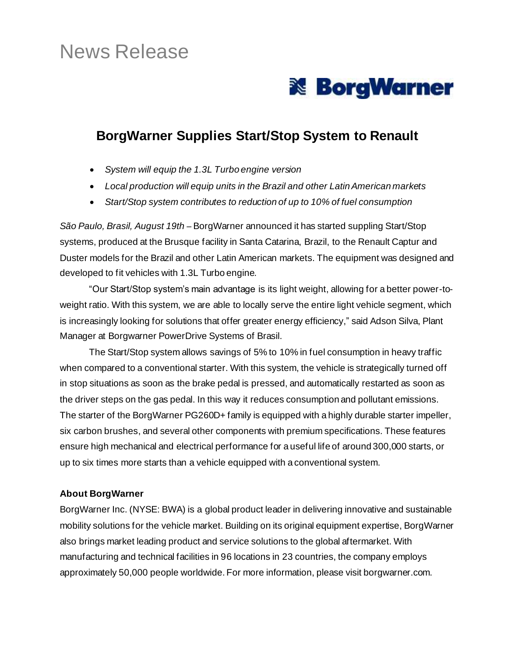## News Release



## **BorgWarner Supplies Start/Stop System to Renault**

- *System will equip the 1.3L Turbo engine version*
- *Local production will equip units in the Brazil and other Latin American markets*
- *Start/Stop system contributes to reduction of up to 10% of fuel consumption*

*São Paulo, Brasil, August 19th* – BorgWarner announced it has started suppling Start/Stop systems, produced at the Brusque facility in Santa Catarina, Brazil, to the Renault Captur and Duster models for the Brazil and other Latin American markets. The equipment was designed and developed to fit vehicles with 1.3L Turbo engine.

"Our Start/Stop system's main advantage is its light weight, allowing for a better power-toweight ratio. With this system, we are able to locally serve the entire light vehicle segment, which is increasingly looking for solutions that offer greater energy efficiency," said Adson Silva, Plant Manager at Borgwarner PowerDrive Systems of Brasil.

The Start/Stop system allows savings of 5% to 10% in fuel consumption in heavy traffic when compared to a conventional starter. With this system, the vehicle is strategically turned off in stop situations as soon as the brake pedal is pressed, and automatically restarted as soon as the driver steps on the gas pedal. In this way it reduces consumption and pollutant emissions. The starter of the BorgWarner PG260D+ family is equipped with a highly durable starter impeller, six carbon brushes, and several other components with premium specifications. These features ensure high mechanical and electrical performance for a useful life of around 300,000 starts, or up to six times more starts than a vehicle equipped with a conventional system.

## **About BorgWarner**

BorgWarner Inc. (NYSE: BWA) is a global product leader in delivering innovative and sustainable mobility solutions for the vehicle market. Building on its original equipment expertise, BorgWarner also brings market leading product and service solutions to the global aftermarket. With manufacturing and technical facilities in 96 locations in 23 countries, the company employs approximately 50,000 people worldwide. For more information, please visit borgwarner.com.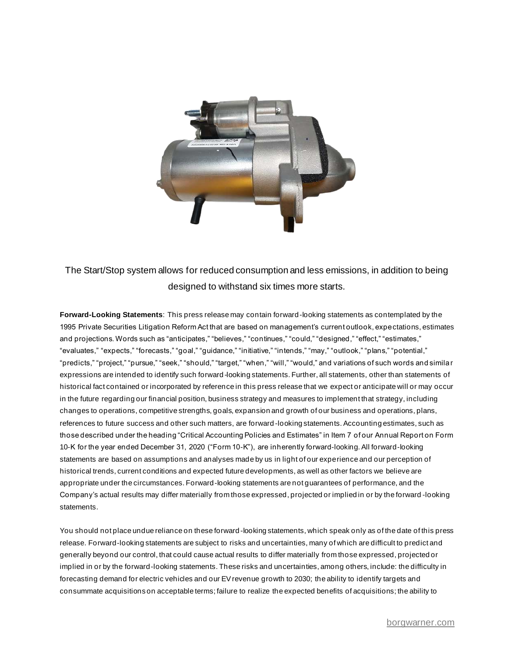

## The Start/Stop system allows for reduced consumption and less emissions, in addition to being designed to withstand six times more starts.

**Forward-Looking Statements**: This press release may contain forward-looking statements as contemplated by the 1995 Private Securities Litigation Reform Act that are based on management's current outlook, expectations, estimates and projections. Words such as "anticipates," "believes," "continues," "could," "designed," "effect," "estimates," "evaluates," "expects," "forecasts," "goal," "guidance," "initiative," "intends," "may," "outlook," "plans," "potential," "predicts," "project," "pursue," "seek," "should," "target," "when," "will," "would," and variations of such words and similar expressions are intended to identify such forward-looking statements. Further, all statements, other than statements of historical fact contained or incorporated by reference in this press release that we expect or anticipate will or may occur in the future regarding our financial position, business strategy and measures to implement that strategy, including changes to operations, competitive strengths, goals, expansion and growth of our business and operations, plans, references to future success and other such matters, are forward -looking statements. Accounting estimates, such as those described under the heading "Critical Accounting Policies and Estimates" in Item 7 of our Annual Report on Form 10-K for the year ended December 31, 2020 ("Form 10-K"), are inherently forward-looking. All forward-looking statements are based on assumptions and analyses made by us in light of our experience and our perception of historical trends, current conditions and expected future developments, as well as other factors we believe are appropriate under the circumstances. Forward-looking statements are not guarantees of performance, and the Company's actual results may differ materially from those expressed, projected or implied in or by the forward -looking statements.

You should not place undue reliance on these forward -looking statements, which speak only as of the date of this press release. Forward-looking statements are subject to risks and uncertainties, many of which are difficult to predict and generally beyond our control, that could cause actual results to differ materially from those expressed, projected or implied in or by the forward-looking statements. These risks and uncertainties, among others, include: the difficulty in forecasting demand for electric vehicles and our EV revenue growth to 2030; the ability to identify targets and consummate acquisitions on acceptable terms; failure to realize the expected benefits of acquisitions; the ability to